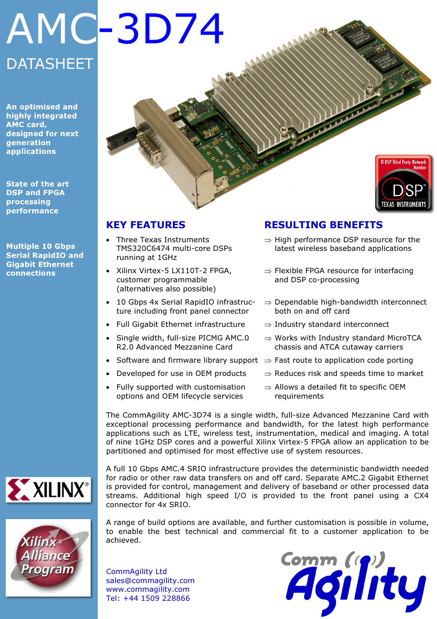### **DATASHEET** AMC-3D74

An optimised and highly integrated AMC card, designed for next generation applications

State of the art DSP and FPGA processing performance

Multiple 10 Gbps Serial RapidIO and Gigabit Ethernet connections

#### KEY FEATURES

- Three Texas Instruments TMS320C6474 multi-core DSPs running at 1GHz
- Xilinx Virtex-5 LX110T-2 FPGA, customer programmable (alternatives also possible)
- 10 Gbps 4x Serial RapidIO infrastructure including front panel connector
- Full Gigabit Ethernet infrastructure
- Single width, full-size PICMG AMC.0 R2.0 Advanced Mezzanine Card
- Software and firmware library support  $\Rightarrow$  Fast route to application code porting
- Developed for use in OEM products
- Fully supported with customisation options and OEM lifecycle services

#### RESULTING BENEFITS

- ⇒ High performance DSP resource for the latest wireless baseband applications
- ⇒ Flexible FPGA resource for interfacing and DSP co-processing
- ⇒ Dependable high-bandwidth interconnect both on and off card
- ⇒ Industry standard interconnect
- ⇒ Works with Industry standard MicroTCA chassis and ATCA cutaway carriers
- 
- ⇒ Reduces risk and speeds time to market
- $\Rightarrow$  Allows a detailed fit to specific OEM requirements

The CommAgility AMC-3D74 is a single width, full-size Advanced Mezzanine Card with exceptional processing performance and bandwidth, for the latest high performance applications such as LTE, wireless test, instrumentation, medical and imaging. A total of nine 1GHz DSP cores and a powerful Xilinx Virtex-5 FPGA allow an application to be partitioned and optimised for most effective use of system resources.



Program

for radio or other raw data transfers on and off card. Separate AMC.2 Gigabit Ethernet is provided for control, management and delivery of baseband or other processed data streams. Additional high speed I/O is provided to the front panel using a CX4 connector for 4x SRIO.

A full 10 Gbps AMC.4 SRIO infrastructure provides the deterministic bandwidth needed

A range of build options are available, and further customisation is possible in volume, to enable the best technical and commercial fit to a customer application to be achieved.

CommAgility Ltd sales@commagility.com www.commagility.com Tel: +44 1509 228866